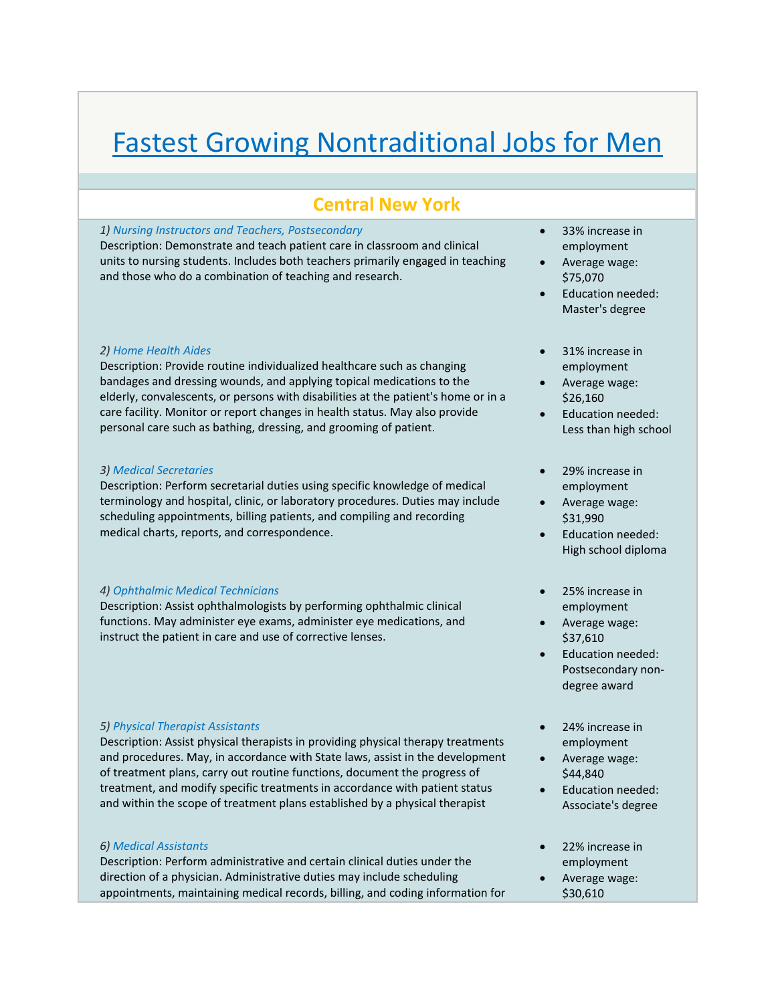# Fastest Growing Nontraditional Jobs for Men

# **Central New York**

#### *1) Nursing Instructors and Teachers, Postsecondary*

Description: Demonstrate and teach patient care in classroom and clinical units to nursing students. Includes both teachers primarily engaged in teaching and those who do a combination of teaching and research.

#### *2) Home Health Aides*

Description: Provide routine individualized healthcare such as changing bandages and dressing wounds, and applying topical medications to the elderly, convalescents, or persons with disabilities at the patient's home or in a care facility. Monitor or report changes in health status. May also provide personal care such as bathing, dressing, and grooming of patient.

#### *3) Medical Secretaries*

Description: Perform secretarial duties using specific knowledge of medical terminology and hospital, clinic, or laboratory procedures. Duties may include scheduling appointments, billing patients, and compiling and recording medical charts, reports, and correspondence.

## *4) Ophthalmic Medical Technicians*

Description: Assist ophthalmologists by performing ophthalmic clinical functions. May administer eye exams, administer eye medications, and instruct the patient in care and use of corrective lenses.

## *5) Physical Therapist Assistants*

Description: Assist physical therapists in providing physical therapy treatments and procedures. May, in accordance with State laws, assist in the development of treatment plans, carry out routine functions, document the progress of treatment, and modify specific treatments in accordance with patient status and within the scope of treatment plans established by a physical therapist

## *6) Medical Assistants*

Description: Perform administrative and certain clinical duties under the direction of a physician. Administrative duties may include scheduling appointments, maintaining medical records, billing, and coding information for

- 33% increase in employment
- Average wage: \$75,070
- Education needed: Master's degree
- 31% increase in employment
- Average wage: \$26,160
- Education needed: Less than high school
- 29% increase in employment
- Average wage: \$31,990
- Education needed: High school diploma
- 25% increase in employment
- Average wage: \$37,610
- Education needed: Postsecondary non‐ degree award
- 24% increase in employment
- Average wage: \$44,840
- Education needed: Associate's degree
- 22% increase in employment
- Average wage: \$30,610